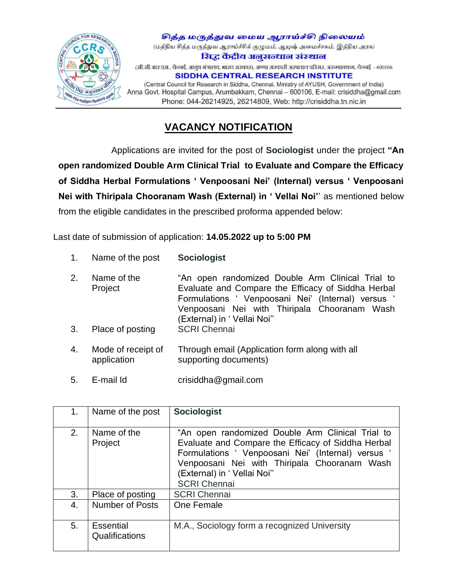

சித்த மருத்துவ மைய ஆராய்ச்சி நிலையம் (மத்திய சித்த மருத்துவ ஆராய்ச்சிக் குழுமம், ஆயுஷ் அமைச்சகம், இந்திய அரசு) सिद्ध केंद्रीय अनसन्धान संस्थान (सी.सी.आर.एस., चेन्नई, आयुष मंत्रालय, भारत सरकार), अण्णा सरकारी अस्पताल परिसर, अरुम्बाक्कम, चेन्नई - 600106 **SIDDHA CENTRAL RESEARCH INSTITUTE** (Central Council for Research in Siddha, Chennai, Ministry of AYUSH, Government of India) Anna Govt. Hospital Campus, Arumbakkam, Chennai - 600106, E-mail: crisiddha@gmail.com Phone: 044-26214925, 26214809, Web: http://crisiddha.tn.nic.in

## **VACANCY NOTIFICATION**

 Applications are invited for the post of **Sociologist** under the project **"An open randomized Double Arm Clinical Trial to Evaluate and Compare the Efficacy of Siddha Herbal Formulations ' Venpoosani Nei' (Internal) versus ' Venpoosani Nei with Thiripala Chooranam Wash (External) in ' Vellai Noi'**' as mentioned below from the eligible candidates in the prescribed proforma appended below:

Last date of submission of application: **14.05.2022 up to 5:00 PM**

- 1. Name of the post **Sociologist**
- 2. Name of the Project "An open randomized Double Arm Clinical Trial to Evaluate and Compare the Efficacy of Siddha Herbal Formulations ' Venpoosani Nei' (Internal) versus ' Venpoosani Nei with Thiripala Chooranam Wash (External) in ' Vellai Noi'' 3. Place of posting SCRI Chennai
- 4. Mode of receipt of application Through email (Application form along with all supporting documents)
- 5. E-mail Id crisiddha@gmail.com

| 1.             | Name of the post            | <b>Sociologist</b>                                                                                                                                                                                                                                                |
|----------------|-----------------------------|-------------------------------------------------------------------------------------------------------------------------------------------------------------------------------------------------------------------------------------------------------------------|
| 2 <sub>1</sub> | Name of the<br>Project      | "An open randomized Double Arm Clinical Trial to<br>Evaluate and Compare the Efficacy of Siddha Herbal<br>Formulations ' Venpoosani Nei' (Internal) versus '<br>Venpoosani Nei with Thiripala Chooranam Wash<br>(External) in 'Vellai Noi"<br><b>SCRI Chennai</b> |
| 3.             | Place of posting            | <b>SCRI Chennai</b>                                                                                                                                                                                                                                               |
| 4.             | <b>Number of Posts</b>      | One Female                                                                                                                                                                                                                                                        |
| 5.             | Essential<br>Qualifications | M.A., Sociology form a recognized University                                                                                                                                                                                                                      |